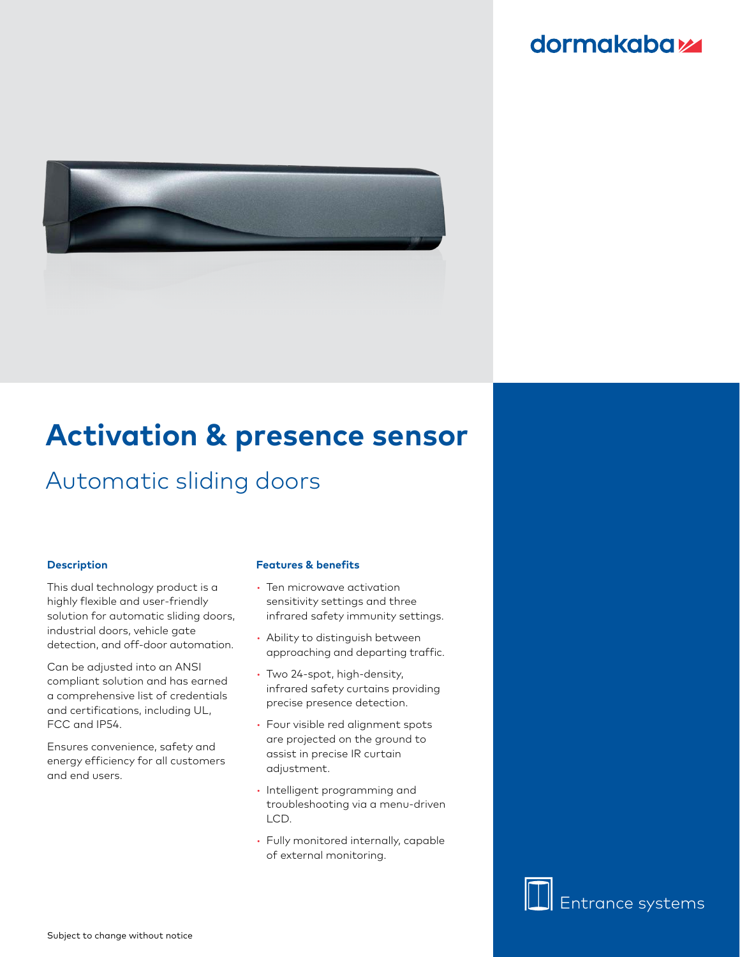# **dormakabazz**



# **Activation & presence sensor**

# Automatic sliding doors

### **Description**

This dual technology product is a highly flexible and user-friendly solution for automatic sliding doors, industrial doors, vehicle gate detection, and off-door automation.

Can be adjusted into an ANSI compliant solution and has earned a comprehensive list of credentials and certifications, including UL, FCC and IP54.

Ensures convenience, safety and energy efficiency for all customers and end users.

#### **Features & benefits**

- Ten microwave activation sensitivity settings and three infrared safety immunity settings.
- Ability to distinguish between approaching and departing traffic.
- Two 24-spot, high-density, infrared safety curtains providing precise presence detection.
- Four visible red alignment spots are projected on the ground to assist in precise IR curtain adjustment.
- Intelligent programming and troubleshooting via a menu-driven LCD.
- Fully monitored internally, capable of external monitoring.